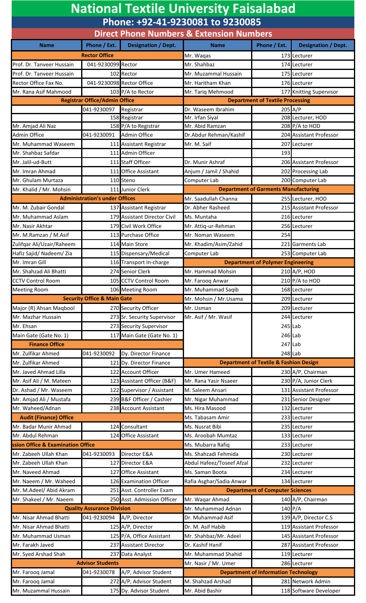|                                                                                         |                                        |                                      | <b>National Textile University Faisalabad</b> |                                                   |                                     |  |  |
|-----------------------------------------------------------------------------------------|----------------------------------------|--------------------------------------|-----------------------------------------------|---------------------------------------------------|-------------------------------------|--|--|
| Phone: +92-41-9230081 to 9230085<br><b>Direct Phone Numbers &amp; Extension Numbers</b> |                                        |                                      |                                               |                                                   |                                     |  |  |
|                                                                                         |                                        |                                      |                                               |                                                   |                                     |  |  |
| <b>Name</b>                                                                             | Phone / Ext.                           | <b>Designation / Dept.</b>           | <b>Name</b>                                   | Phone / Ext.                                      | Designation / Dept.                 |  |  |
|                                                                                         | <b>Rector Office</b>                   |                                      | Mr. Waqas                                     |                                                   | 173 Lecturer                        |  |  |
| Prof. Dr. Tanveer Hussain                                                               | 041-9230099 Rector                     |                                      | Mr. Shahbaz                                   |                                                   | 174 Lecturer                        |  |  |
| Prof. Dr. Tanveer Hussain                                                               |                                        | 102 Rector                           | Mr. Muzammal Hussain                          |                                                   | 175 Lecturer                        |  |  |
| Rector Office Fax No.                                                                   |                                        | 041-9230098 Rector Office            | Mr. Haritham Khan                             |                                                   | 176 Lecturer                        |  |  |
| Mr. Rana Asif Mahmood                                                                   |                                        | 103 P/A to Rector                    | Mr. Tariq Mehmood                             |                                                   | 177 Knitting Supervisor             |  |  |
|                                                                                         | <b>Registrar Office/Admin Office</b>   |                                      |                                               | <b>Department of Textile Processing</b>           |                                     |  |  |
|                                                                                         | 041-9230097 Registrar                  |                                      | Dr. Waseem Ibrahim                            |                                                   | 205 A/P                             |  |  |
|                                                                                         |                                        | 158 Registrar                        | Mr. Irfan Siyal                               |                                                   | 208 Lecturer, HOD<br>208 P/A to HOD |  |  |
| Mr. Amjad Ali Naz<br>Admin Office                                                       | 041-9230091                            | 158 P/A to Registrar<br>Admin Office | Mr. Abid Ramzan                               |                                                   | 204 Assistant Professor             |  |  |
| Mr. Muhammad Waseem                                                                     |                                        |                                      | Dr.Abdur Rehman/Kashif                        |                                                   |                                     |  |  |
|                                                                                         |                                        | 111 Assistant Registrar              | Mr. M. Saif                                   |                                                   | 207 Lecturer                        |  |  |
| Mr. Shahbaz Safdar                                                                      |                                        | 111 Admin Officer                    |                                               | 193                                               |                                     |  |  |
| Mr. Jalil-ud-Butt                                                                       |                                        | 111 Staff Officer                    | Dr. Munir Ashraf                              |                                                   | 206 Assistant Professor             |  |  |
| Mr. Imran Ahmad                                                                         |                                        | 111 Office Assistant                 | Anjum / Jamil / Shahid                        |                                                   | 202 Processing Lab                  |  |  |
| Mr. Ghulam Murtaza                                                                      |                                        | 110 Steno                            | Computer Lab                                  |                                                   | 200 Computer Lab                    |  |  |
| Mr. Khalid / Mr. Mohsin                                                                 |                                        | 111 Junior Clerk                     |                                               | <b>Department of Garments Manufacturing</b>       |                                     |  |  |
|                                                                                         | <b>Administration's under Offices</b>  |                                      | Mr. Saadullah Channa                          |                                                   | 255 Lecturer, HOD                   |  |  |
| Mr. M. Zubair Gondal                                                                    |                                        | 137 Assistant Registrar              | Dr. Abher Rasheed                             |                                                   | 215 Assistant Professor             |  |  |
| Mr. Muhammad Aslam                                                                      |                                        | 179 Assistant Director Civil         | Ms. Muntaha                                   |                                                   | 216 Lecturer                        |  |  |
| Mr. Nasir Akhtar                                                                        |                                        | 179 Civil Work Office                | Mr. Attiq-ur-Rehman                           |                                                   | 256 Lecturer                        |  |  |
| Mr. M.Ramzan / M.Asif                                                                   |                                        | 113 Purchase Office                  | Mr. Noman Waseem                              | 254                                               |                                     |  |  |
| Zulifqar Ali/Uzair/Raheem                                                               |                                        | 114 Main Store                       | Mr. Khadim/Asim/Zahid                         |                                                   | 221 Garments Lab                    |  |  |
| Hafiz Sajid/ Nadeem/ Zia                                                                |                                        | 115 Dispensary/Medical               | Computer Lab                                  |                                                   | 253 Computer Lab                    |  |  |
| Mr. Imran Gill                                                                          |                                        | 116 Transport In-charge              |                                               | <b>Department of Polymer Engineering</b>          |                                     |  |  |
| Mr. Shahzad Ali Bhatti                                                                  |                                        | 274 Senior Clerk                     | Mr. Hammad Mohsin                             |                                                   | 210 A/P, HOD                        |  |  |
| <b>CCTV Control Room</b>                                                                |                                        | 105 CCTV Control Room                | Mr. Faroog Anwar                              |                                                   | 210 P/A to HOD                      |  |  |
| <b>Meeting Room</b>                                                                     |                                        | 106 Meeting Room                     | Mr. Muhammad Saqib                            |                                                   | 168 Lecturer                        |  |  |
|                                                                                         | <b>Security Office &amp; Main Gate</b> |                                      | Mr. Mohsin / Mr.Usama                         |                                                   | 209 Lecturer                        |  |  |
| Major (R) Ahsan Maqbool                                                                 |                                        | 270 Security Officer                 | Mr. Usman                                     |                                                   | 209 Lecturer                        |  |  |
| Mr. Mazhar Hussain                                                                      |                                        | 273 Sr. Security Supervisor          | Mr. Asif / Mr. Wasif                          |                                                   | 244 Lecturer                        |  |  |
| Mr. Ehsan                                                                               |                                        | 273 Security Supervisor              |                                               |                                                   | 245 Lab                             |  |  |
| Main Gate (Gate No. 1)                                                                  |                                        | 117 Main Gate (Gate No. 1)           |                                               |                                                   | 246 Lab                             |  |  |
| <b>Finance Office</b>                                                                   |                                        |                                      |                                               |                                                   | 247 Lab                             |  |  |
| Mr. Zulfikar Ahmed                                                                      | 041-9230092                            | Dy. Director Finance                 |                                               |                                                   | 248 Lab                             |  |  |
|                                                                                         |                                        |                                      |                                               |                                                   |                                     |  |  |
| Mr. Zulfikar Ahmed                                                                      |                                        | 121 Dy. Director Finance             |                                               | <b>Department of Textile &amp; Fashion Design</b> |                                     |  |  |
| Mr. Javed Ahmad Lilla                                                                   |                                        | 122 Account Officer                  | Mr. Umer Hameed                               |                                                   | 230 A/P, Chairman                   |  |  |
| Mr. Asif Ali / M. Mateen                                                                |                                        | 123 Assistant Officer (B&F)          | Mr. Rana Yasir Nsaeer                         |                                                   | 230 P/A, Junior Clerk               |  |  |
| Dr. Ashad / Mr. Waseem                                                                  |                                        | 122 Supervisor / Assistant           | M. Saleem Ansari                              |                                                   | 131 Assistant Professor             |  |  |
| Mr. Amjad Ali / Mustafa                                                                 |                                        | 239 B&F Officer / Cashier            | Mr. Nigar Muhammad                            |                                                   | 231 Senior Designer                 |  |  |
| Mr. Waheed/Adnan                                                                        |                                        | 238 Account Assistant                | Ms. Hira Masood                               |                                                   | 132 Lecturer                        |  |  |
| <b>Audit (Finance) Office</b>                                                           |                                        |                                      | Ms. Tabasam Amir                              |                                                   | 233 Lecturer                        |  |  |
| Mr. Badar Munir Ahmad                                                                   |                                        | 124 Consultant                       | Ms. Nusrat Bibi                               |                                                   | 235 Lecturer                        |  |  |
| Mr. Abdul Rehman                                                                        |                                        | 124 Office Assistant                 | Ms. Aroobah Mumtaz                            |                                                   | 133 Lecturer                        |  |  |
| ssion Office & Examination Office                                                       |                                        |                                      | Ms. Mubarra Rafiq                             |                                                   | 233 Lecturer                        |  |  |
| Mr. Zabeeh Ullah Khan                                                                   | 041-9230093                            | Director E&A                         | Ms. Shahzadi Fehmida                          |                                                   | 230 Lecturer                        |  |  |
| Mr. Zabeeh Ullah Khan                                                                   |                                        | 127 Director E&A                     | Abdul Hafeez/Toseef Afzal                     |                                                   | 232 Lecturer                        |  |  |
| Mr. Naveed Ahmad                                                                        |                                        | 127 Office Assistant                 | Ms. Saman Boota                               |                                                   | 234 Lecturer                        |  |  |
| Mr. Naeem / Mr. Waheed                                                                  |                                        | 126 Examination Officer              | Rafia Asghar/Sadia Anwar                      |                                                   | 134 Lecturer                        |  |  |
| Mr. M.Adeel/ Abid Akram                                                                 |                                        | 251 Asst. Controller Exam            |                                               | <b>Department of Computer Sciences</b>            |                                     |  |  |
| Mr. Shakeel / Mr. Naeem                                                                 |                                        | 250 Asst. Admission Officer          | Mr. Waqar Ahmad                               |                                                   | 140 A/P, Chairman                   |  |  |
|                                                                                         | <b>Quality Assurance Division</b>      |                                      | Mr. Muhammad Adnan                            |                                                   | 140 P/A                             |  |  |
| Mr. Nisar Ahmad Bhatti                                                                  | 041-9230094                            | A/P, Director                        | Dr. Muhammad Asif                             |                                                   | 139 A/P, Director C.S               |  |  |
| Mr. Nisar Ahmad Bhatti                                                                  |                                        | 125 A/P, Director                    | Dr. M. Asif Habib                             |                                                   | 119 Assistant Professor             |  |  |
|                                                                                         |                                        |                                      |                                               |                                                   |                                     |  |  |
| Mr. Muhammad Usman                                                                      |                                        | 125 P/A, Office Assistant            | Mr. Shahbaz/Mr. Adeel                         |                                                   | 145 Assistant Professor             |  |  |
| Mr. Farakh Javed                                                                        |                                        | 237 Assistant Director               | Dr. Kashif Hanif                              |                                                   | 287 Assistant Professor             |  |  |
| Mr. Syed Arshad Shah                                                                    |                                        | 237 Data Analyst                     | Mr. Muhammad Shahid                           |                                                   | 119 Lecturer                        |  |  |
|                                                                                         | <b>Advisor Students</b>                |                                      | Mr. Nasir / Mr. Umer                          |                                                   | 286 Lecturer                        |  |  |
| Mr. Farooq Jamal                                                                        | 041-9230078                            | A/P, Advisor Student                 |                                               | <b>Department of Information Technology</b>       |                                     |  |  |
| Mr. Farooq Jamal                                                                        |                                        | 272 A/P, Advisor Student             | M. Shahzad Arshad                             |                                                   | 281 Network Admin                   |  |  |
| Mr. Muzammal Hussain                                                                    |                                        | 175 Dy. Advisor Student              | Mr. Abid Bashir                               |                                                   | 118 Software Developer              |  |  |